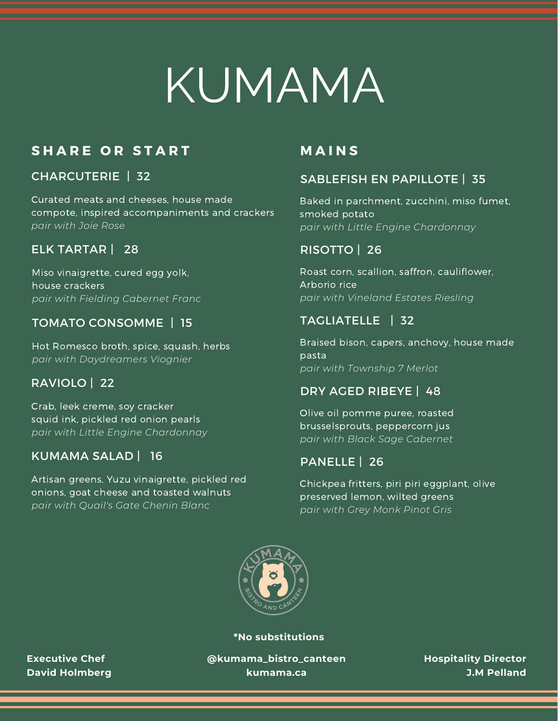# KUMAMA

#### **S H A R E O R S T A R T**

#### CHARCUTERIE | 32

Curated meats and cheeses, house made compote, inspired accompaniments and crackers *pair with Joie Rose*

#### ELK TARTAR | 28

Miso vinaigrette, cured egg yolk, house crackers *pair with Fielding Cabernet Franc*

#### TOMATO CONSOMME | 15

Hot Romesco broth, spice, squash, herbs *pair with Daydreamers Viognier*

#### RAVIOLO | 22

Crab, leek creme, soy cracker squid ink, pickled red onion pearls *pair with Little Engine Chardonnay*

#### KUMAMA SALAD | 16

Artisan greens, Yuzu vinaigrette, pickled red onions, goat cheese and toasted walnuts *pair with Quail's Gate Chenin Blanc*

#### **M A I N S**

#### SABLEFISH EN PAPILLOTE | 35

Baked in parchment, zucchini, miso fumet, smoked potato *pair with Little Engine Chardonnay*

#### RISOTTO | 26

Roast corn, scallion, saffron, cauliflower, Arborio rice *pair with Vineland Estates Riesling*

#### TAGLIATELLE | 32

Braised bison, capers, anchovy, house made pasta *pair with Township 7 Merlot*

#### DRY AGED RIBEYE | 48

Olive oil pomme puree, roasted brusselsprouts, peppercorn jus *pair with Black Sage Cabernet*

#### PANELLE | 26

Chickpea fritters, piri piri eggplant, olive preserved lemon, wilted greens *pair with Grey Monk Pinot Gris*



**\*No substitutions**

**Executive Chef David Holmberg** **@kumama\_bistro\_canteen kumama.ca**

**Hospitality Director J.M Pelland**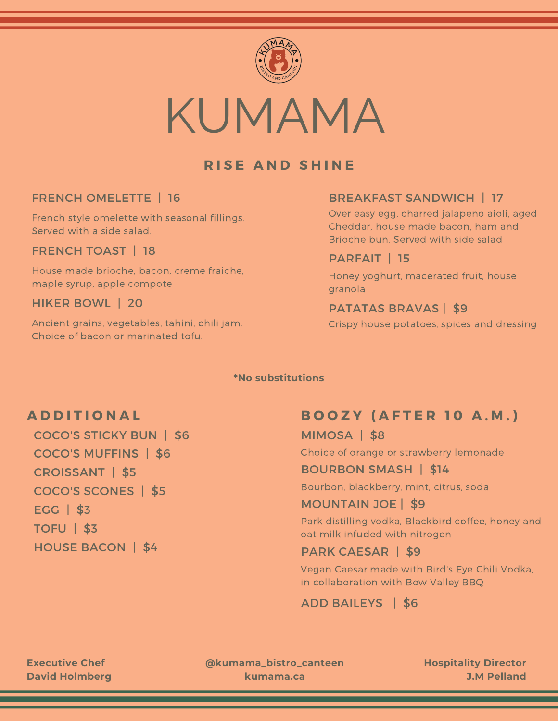

#### **R I S E A N D S H I N E**

#### FRENCH OMELETTE | 16

French style omelette with seasonal fillings. Served with a side salad.

#### FRENCH TOAST | 18

House made brioche, bacon, creme fraiche, maple syrup, apple compote

#### HIKER BOWL | 20

Ancient grains, vegetables, tahini, chili jam. Choice of bacon or marinated tofu.

#### BREAKFAST SANDWICH | 17

Over easy egg, charred jalapeno aioli, aged Cheddar, house made bacon, ham and Brioche bun. Served with side salad

#### PARFAIT | 15

Honey yoghurt, macerated fruit, house granola

#### PATATAS BRAVAS | \$9

Crispy house potatoes, spices and dressing

#### **\*No substitutions**

#### **A D D I T I O N A L**

COCO'S STICKY BUN | \$6 EGG | \$3 TOFU | \$3 HOUSE BACON | \$4 CROISSANT | \$5 COCO'S SCONES | \$5 COCO'S MUFFINS | \$6

#### **B O O Z Y ( A F T E R 1 0 A . M . )**

MIMOSA | \$8

Choice of orange or strawberry lemonade

#### BOURBON SMASH | \$14

Bourbon, blackberry, mint, citrus, soda

#### MOUNTAIN JOE | \$9

Park distilling vodka, Blackbird coffee, honey and oat milk infuded with nitrogen

#### PARK CAESAR | \$9

Vegan Caesar made with Bird's Eye Chili Vodka, in collaboration with Bow Valley BBQ

#### ADD BAILEYS | \$6

**Executive Chef David Holmberg** **@kumama\_bistro\_canteen kumama.ca**

**Hospitality Director J.M Pelland**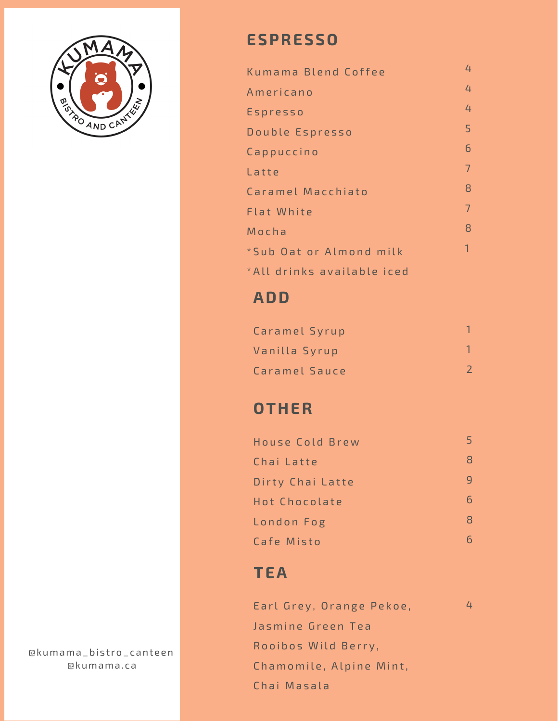

## **ESPRESSO**

| Kumama Blend Coffee        | 4 |
|----------------------------|---|
| Americano                  | 4 |
| Espresso                   | 4 |
| Double Espresso            | 5 |
| Cappuccino                 | 6 |
| Latte                      | 7 |
| Caramel Macchiato          | 8 |
| <b>Flat White</b>          | 7 |
| Mocha                      | 8 |
| *Sub Oat or Almond milk    | 1 |
| *All drinks available iced |   |

## **ADD**

| Caramel Syrup |  |
|---------------|--|
| Vanilla Syrup |  |
| Caramel Sauce |  |

## **OTHER**

| House Cold Brew  |   |
|------------------|---|
| Chai Latte       |   |
| Dirty Chai Latte |   |
| Hot Chocolate    |   |
| London Fog       | Я |
| Cafe Misto       |   |

## **TEA**

| Earl Grey, Orange Pekoe, | 4 |
|--------------------------|---|
| Jasmine Green Tea        |   |
| Rooibos Wild Berry,      |   |
| Chamomile, Alpine Mint,  |   |
| Chai Masala              |   |

@kumama\_bist ro\_canteen @kumama.ca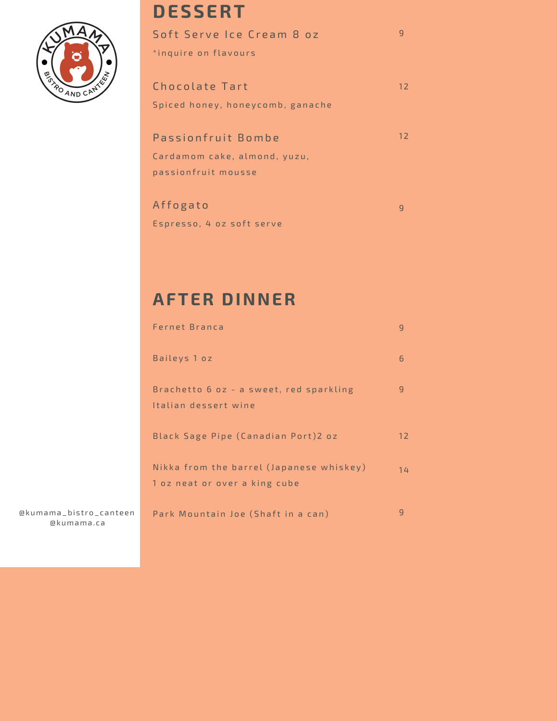

@kumama\_bist ro\_canteen @kumama.ca

## **DESSERT**

| Soft Serve Ice Cream 8 oz               |  |
|-----------------------------------------|--|
| *inquire on flavours                    |  |
|                                         |  |
| Chocolate Tart<br>$12 \overline{ }$     |  |
| Spiced honey, honeycomb, ganache        |  |
|                                         |  |
| $12 \overline{ }$<br>Passionfruit Bombe |  |
| Cardamom cake, almond, yuzu,            |  |
| passionfruit mousse                     |  |
|                                         |  |
| Affogato                                |  |

Espresso, 4 oz soft serve

## **AFTER DINNER**

| Fernet Branca                                                             | q  |
|---------------------------------------------------------------------------|----|
| Baileys 1 oz                                                              | 6  |
| Brachetto 6 oz - a sweet, red sparkling<br>Italian dessert wine           | q  |
| Black Sage Pipe (Canadian Port)2 oz                                       | 12 |
| Nikka from the barrel (Japanese whiskey)<br>1 oz neat or over a king cube | 14 |
| Park Mountain Joe (Shaft in a can)                                        | q  |